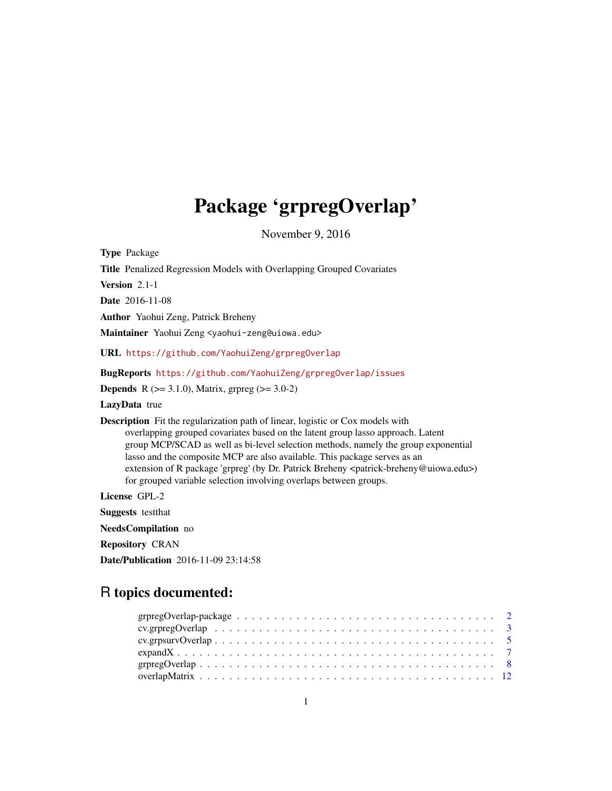# Package 'grpregOverlap'

November 9, 2016

<span id="page-0-0"></span>Type Package Title Penalized Regression Models with Overlapping Grouped Covariates Version 2.1-1 Date 2016-11-08 Author Yaohui Zeng, Patrick Breheny Maintainer Yaohui Zeng <yaohui-zeng@uiowa.edu> URL <https://github.com/YaohuiZeng/grpregOverlap> BugReports <https://github.com/YaohuiZeng/grpregOverlap/issues> **Depends** R ( $>= 3.1.0$ ), Matrix, grpreg ( $>= 3.0-2$ ) LazyData true Description Fit the regularization path of linear, logistic or Cox models with overlapping grouped covariates based on the latent group lasso approach. Latent group MCP/SCAD as well as bi-level selection methods, namely the group exponential lasso and the composite MCP are also available. This package serves as an extension of R package 'grpreg' (by Dr. Patrick Breheny <patrick-breheny@uiowa.edu>) for grouped variable selection involving overlaps between groups. License GPL-2 Suggests testthat NeedsCompilation no Repository CRAN Date/Publication 2016-11-09 23:14:58

# R topics documented: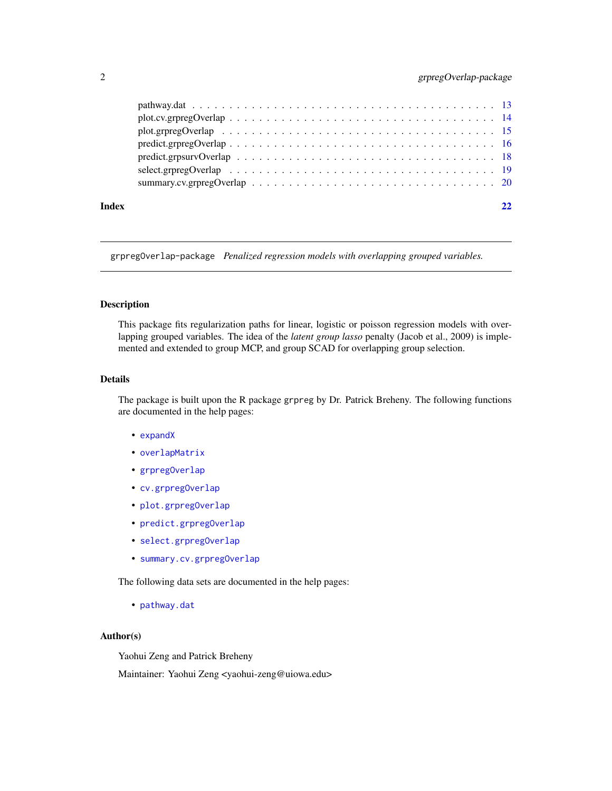# <span id="page-1-0"></span>2 grpregOverlap-package

|       | $predict.gprpegOverlap \dots \dots \dots \dots \dots \dots \dots \dots \dots \dots \dots \dots \dots \dots \dots \dots \dots \dots$ |    |
|-------|-------------------------------------------------------------------------------------------------------------------------------------|----|
|       |                                                                                                                                     |    |
|       |                                                                                                                                     |    |
|       |                                                                                                                                     |    |
| Index |                                                                                                                                     | 22 |

grpregOverlap-package *Penalized regression models with overlapping grouped variables.*

### Description

This package fits regularization paths for linear, logistic or poisson regression models with overlapping grouped variables. The idea of the *latent group lasso* penalty (Jacob et al., 2009) is implemented and extended to group MCP, and group SCAD for overlapping group selection.

#### Details

The package is built upon the R package grpreg by Dr. Patrick Breheny. The following functions are documented in the help pages:

- [expandX](#page-6-1)
- [overlapMatrix](#page-11-1)
- [grpregOverlap](#page-7-1)
- [cv.grpregOverlap](#page-2-1)
- [plot.grpregOverlap](#page-14-1)
- [predict.grpregOverlap](#page-15-1)
- [select.grpregOverlap](#page-18-1)
- [summary.cv.grpregOverlap](#page-19-1)

The following data sets are documented in the help pages:

• [pathway.dat](#page-12-1)

### Author(s)

Yaohui Zeng and Patrick Breheny

Maintainer: Yaohui Zeng <yaohui-zeng@uiowa.edu>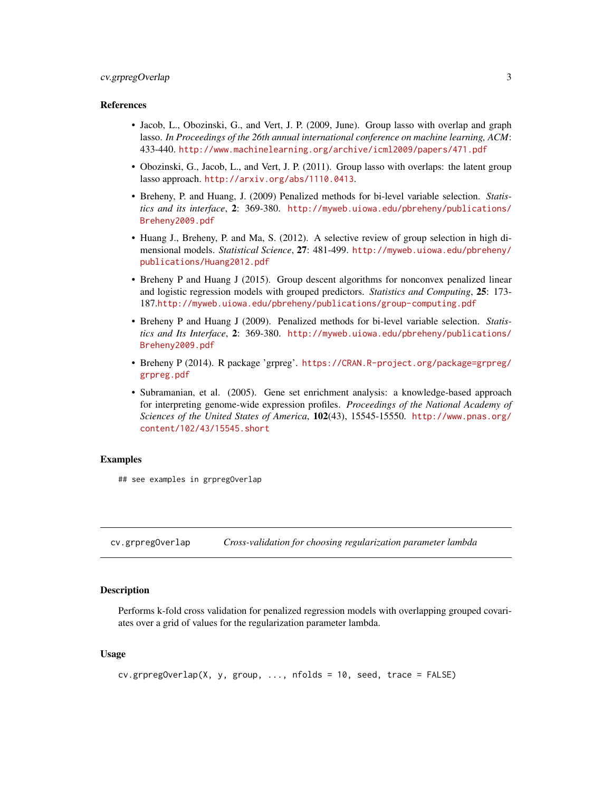# <span id="page-2-0"></span>cv.grpregOverlap 3

#### References

- Jacob, L., Obozinski, G., and Vert, J. P. (2009, June). Group lasso with overlap and graph lasso. *In Proceedings of the 26th annual international conference on machine learning, ACM*: 433-440. <http://www.machinelearning.org/archive/icml2009/papers/471.pdf>
- Obozinski, G., Jacob, L., and Vert, J. P. (2011). Group lasso with overlaps: the latent group lasso approach. <http://arxiv.org/abs/1110.0413>.
- Breheny, P. and Huang, J. (2009) Penalized methods for bi-level variable selection. *Statistics and its interface*, 2: 369-380. [http://myweb.uiowa.edu/pbreheny/publications/](http://myweb.uiowa.edu/pbreheny/publications/Breheny2009.pdf) [Breheny2009.pdf](http://myweb.uiowa.edu/pbreheny/publications/Breheny2009.pdf)
- Huang J., Breheny, P. and Ma, S. (2012). A selective review of group selection in high dimensional models. *Statistical Science*, 27: 481-499. [http://myweb.uiowa.edu/pbreheny/](http://myweb.uiowa.edu/pbreheny/publications/Huang2012.pdf) [publications/Huang2012.pdf](http://myweb.uiowa.edu/pbreheny/publications/Huang2012.pdf)
- Breheny P and Huang J (2015). Group descent algorithms for nonconvex penalized linear and logistic regression models with grouped predictors. *Statistics and Computing*, 25: 173- 187.<http://myweb.uiowa.edu/pbreheny/publications/group-computing.pdf>
- Breheny P and Huang J (2009). Penalized methods for bi-level variable selection. *Statistics and Its Interface*, 2: 369-380. [http://myweb.uiowa.edu/pbreheny/publications/](http://myweb.uiowa.edu/pbreheny/publications/Breheny2009.pdf) [Breheny2009.pdf](http://myweb.uiowa.edu/pbreheny/publications/Breheny2009.pdf)
- Breheny P (2014). R package 'grpreg'. [https://CRAN.R-project.org/package=grpreg/](https://CRAN.R-project.org/package=grpreg/grpreg.pdf) [grpreg.pdf](https://CRAN.R-project.org/package=grpreg/grpreg.pdf)
- Subramanian, et al. (2005). Gene set enrichment analysis: a knowledge-based approach for interpreting genome-wide expression profiles. *Proceedings of the National Academy of Sciences of the United States of America*, 102(43), 15545-15550. [http://www.pnas.org/](http://www.pnas.org/content/102/43/15545.short) [content/102/43/15545.short](http://www.pnas.org/content/102/43/15545.short)

#### Examples

## see examples in grpregOverlap

<span id="page-2-1"></span>cv.grpregOverlap *Cross-validation for choosing regularization parameter lambda*

#### Description

Performs k-fold cross validation for penalized regression models with overlapping grouped covariates over a grid of values for the regularization parameter lambda.

#### Usage

```
cv.grpregOverlap(X, y, group, ..., nfolds = 10, seed, trace = FALSE)
```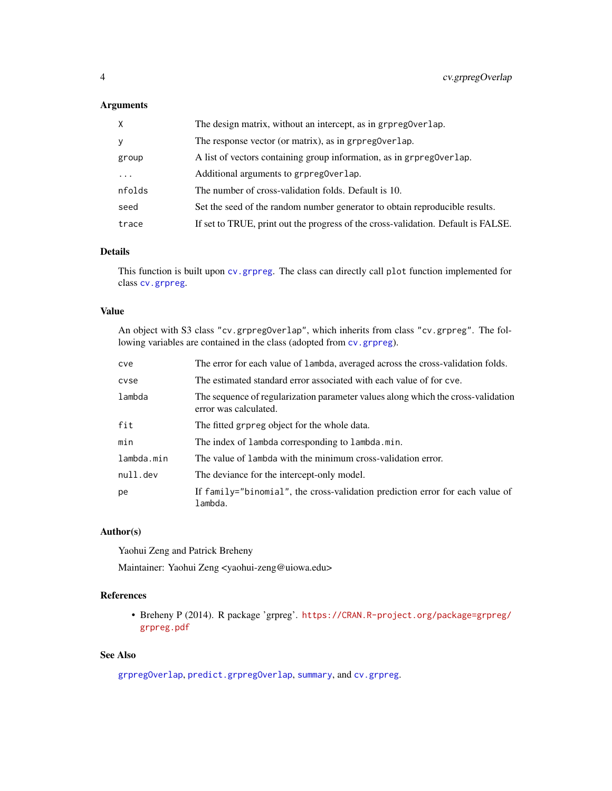# <span id="page-3-0"></span>Arguments

| $\times$ | The design matrix, without an intercept, as in grpreg0verlap.                     |
|----------|-----------------------------------------------------------------------------------|
| <b>y</b> | The response vector (or matrix), as in grpreg0verlap.                             |
| group    | A list of vectors containing group information, as in grpreg0verlap.              |
| $\ddots$ | Additional arguments to grpreg0verlap.                                            |
| nfolds   | The number of cross-validation folds. Default is 10.                              |
| seed     | Set the seed of the random number generator to obtain reproducible results.       |
| trace    | If set to TRUE, print out the progress of the cross-validation. Default is FALSE. |

# Details

This function is built upon [cv.grpreg](#page-0-0). The class can directly call plot function implemented for class [cv.grpreg](#page-0-0).

#### Value

An object with S3 class "cv.grpregOverlap", which inherits from class "cv.grpreg". The following variables are contained in the class (adopted from [cv.grpreg](#page-0-0)).

| cve        | The error for each value of lambda, averaged across the cross-validation folds.                           |
|------------|-----------------------------------------------------------------------------------------------------------|
| cyse       | The estimated standard error associated with each value of for cye.                                       |
| lambda     | The sequence of regularization parameter values along which the cross-validation<br>error was calculated. |
| fit        | The fitted grpreg object for the whole data.                                                              |
| min        | The index of lambda corresponding to lambda.min.                                                          |
| lambda.min | The value of lambda with the minimum cross-validation error.                                              |
| null.dev   | The deviance for the intercept-only model.                                                                |
| рe         | If family="binomial", the cross-validation prediction error for each value of<br>lambda.                  |

# Author(s)

Yaohui Zeng and Patrick Breheny

Maintainer: Yaohui Zeng <yaohui-zeng@uiowa.edu>

# References

• Breheny P (2014). R package 'grpreg'. [https://CRAN.R-project.org/package=grpreg/](https://CRAN.R-project.org/package=grpreg/grpreg.pdf) [grpreg.pdf](https://CRAN.R-project.org/package=grpreg/grpreg.pdf)

# See Also

[grpregOverlap](#page-7-1), [predict.grpregOverlap](#page-15-1), [summary](#page-19-1), and [cv.grpreg](#page-0-0).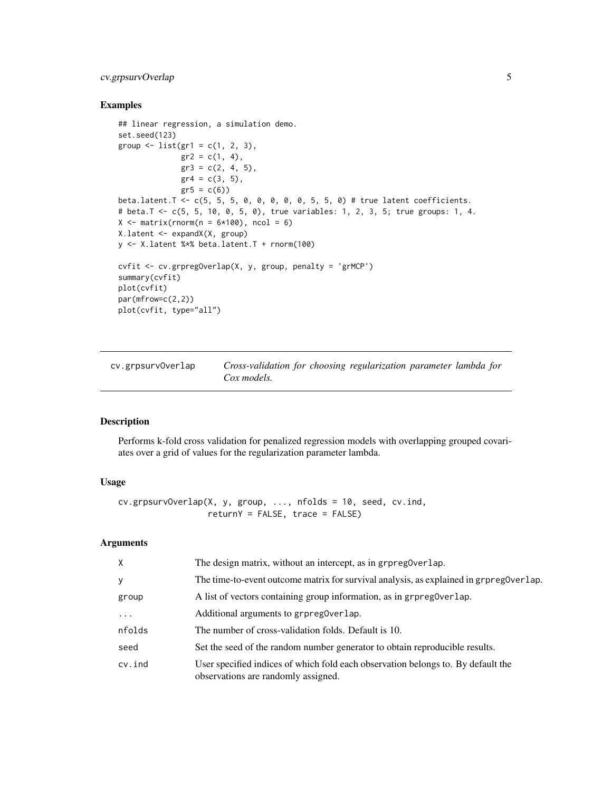# <span id="page-4-0"></span>cv.grpsurvOverlap 5

# Examples

```
## linear regression, a simulation demo.
set.seed(123)
group \leftarrow list(gr1 = c(1, 2, 3),
              gr2 = c(1, 4),gr3 = c(2, 4, 5),gr4 = c(3, 5),
              gr5 = c(6)beta.latent.T <- c(5, 5, 5, 0, 0, 0, 0, 0, 5, 5, 0) # true latent coefficients.
# beta.T <- c(5, 5, 10, 0, 5, 0), true variables: 1, 2, 3, 5; true groups: 1, 4.
X \le matrix(rnorm(n = 6*100), ncol = 6)
X.latent <- expandX(X, group)
y <- X.latent %*% beta.latent.T + rnorm(100)
cvfit <- cv.grpregOverlap(X, y, group, penalty = 'grMCP')
summary(cvfit)
plot(cvfit)
par(mfrow=c(2,2))
plot(cvfit, type="all")
```
<span id="page-4-1"></span>cv.grpsurvOverlap *Cross-validation for choosing regularization parameter lambda for Cox models.*

#### Description

Performs k-fold cross validation for penalized regression models with overlapping grouped covariates over a grid of values for the regularization parameter lambda.

# Usage

```
cv.grpsurvOverlap(X, y, group, ..., nfolds = 10, seed, cv.ind,
                  returnY = FALSE, trace = FALSE)
```
# Arguments

| $\times$   | The design matrix, without an intercept, as in grpreg0verlap.                                                           |
|------------|-------------------------------------------------------------------------------------------------------------------------|
| y          | The time-to-event outcome matrix for survival analysis, as explained in grpreg0verlap.                                  |
| group      | A list of vectors containing group information, as in grpreg0verlap.                                                    |
| $\ddots$   | Additional arguments to grpregoverlap.                                                                                  |
| nfolds     | The number of cross-validation folds. Default is 10.                                                                    |
| seed       | Set the seed of the random number generator to obtain reproducible results.                                             |
| $cv$ . ind | User specified indices of which fold each observation belongs to. By default the<br>observations are randomly assigned. |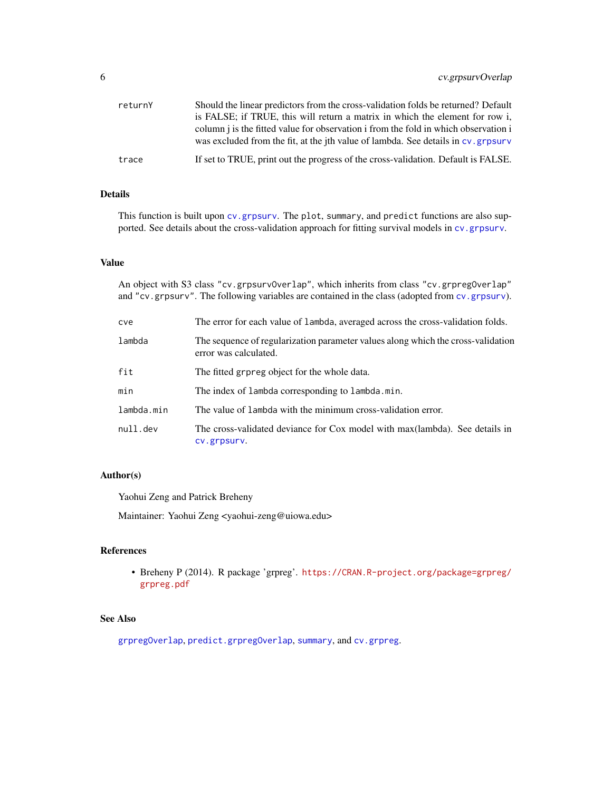<span id="page-5-0"></span>

| returnY | Should the linear predictors from the cross-validation folds be returned? Default<br>is FALSE; if TRUE, this will return a matrix in which the element for row i,        |
|---------|--------------------------------------------------------------------------------------------------------------------------------------------------------------------------|
|         | column i is the fitted value for observation i from the fold in which observation i<br>was excluded from the fit, at the jth value of lambda. See details in cv. grpsurv |
| trace   | If set to TRUE, print out the progress of the cross-validation. Default is FALSE.                                                                                        |

# Details

This function is built upon [cv.grpsurv](#page-0-0). The plot, summary, and predict functions are also supported. See details about the cross-validation approach for fitting survival models in [cv.grpsurv](#page-0-0).

#### Value

An object with S3 class "cv.grpsurvOverlap", which inherits from class "cv.grpregOverlap" and "cv.grpsurv". The following variables are contained in the class (adopted from [cv.grpsurv](#page-0-0)).

| cve        | The error for each value of lambda, averaged across the cross-validation folds.                           |
|------------|-----------------------------------------------------------------------------------------------------------|
| lambda     | The sequence of regularization parameter values along which the cross-validation<br>error was calculated. |
| fit        | The fitted grpreg object for the whole data.                                                              |
| min        | The index of lambda corresponding to lambda.min.                                                          |
| lambda.min | The value of lambda with the minimum cross-validation error.                                              |
| null.dev   | The cross-validated deviance for Cox model with max(lambda). See details in<br>CV.grpsurv.                |

# Author(s)

Yaohui Zeng and Patrick Breheny

Maintainer: Yaohui Zeng <yaohui-zeng@uiowa.edu>

#### References

• Breheny P (2014). R package 'grpreg'. [https://CRAN.R-project.org/package=grpreg/](https://CRAN.R-project.org/package=grpreg/grpreg.pdf) [grpreg.pdf](https://CRAN.R-project.org/package=grpreg/grpreg.pdf)

# See Also

[grpregOverlap](#page-7-1), [predict.grpregOverlap](#page-15-1), [summary](#page-19-1), and [cv.grpreg](#page-0-0).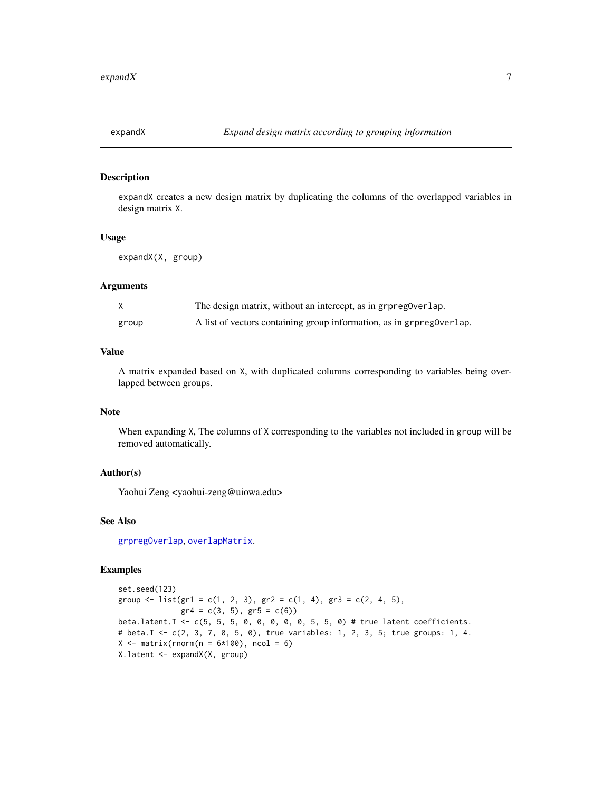<span id="page-6-1"></span><span id="page-6-0"></span>

# Description

expandX creates a new design matrix by duplicating the columns of the overlapped variables in design matrix X.

#### Usage

expandX(X, group)

# Arguments

|       | The design matrix, without an intercept, as in grpregoverlap.        |
|-------|----------------------------------------------------------------------|
| group | A list of vectors containing group information, as in grpreg0verlap. |

# Value

A matrix expanded based on X, with duplicated columns corresponding to variables being overlapped between groups.

#### Note

When expanding X, The columns of X corresponding to the variables not included in group will be removed automatically.

# Author(s)

Yaohui Zeng <yaohui-zeng@uiowa.edu>

#### See Also

[grpregOverlap](#page-7-1), [overlapMatrix](#page-11-1).

#### Examples

```
set.seed(123)
group \le list(gr1 = c(1, 2, 3), gr2 = c(1, 4), gr3 = c(2, 4, 5),
              gr4 = c(3, 5), gr5 = c(6)beta.latent.T <- c(5, 5, 5, 0, 0, 0, 0, 0, 5, 5, 0) # true latent coefficients.
# beta.T <- c(2, 3, 7, 0, 5, 0), true variables: 1, 2, 3, 5; true groups: 1, 4.
X \le matrix(rnorm(n = 6*100), ncol = 6)
X.latent <- expandX(X, group)
```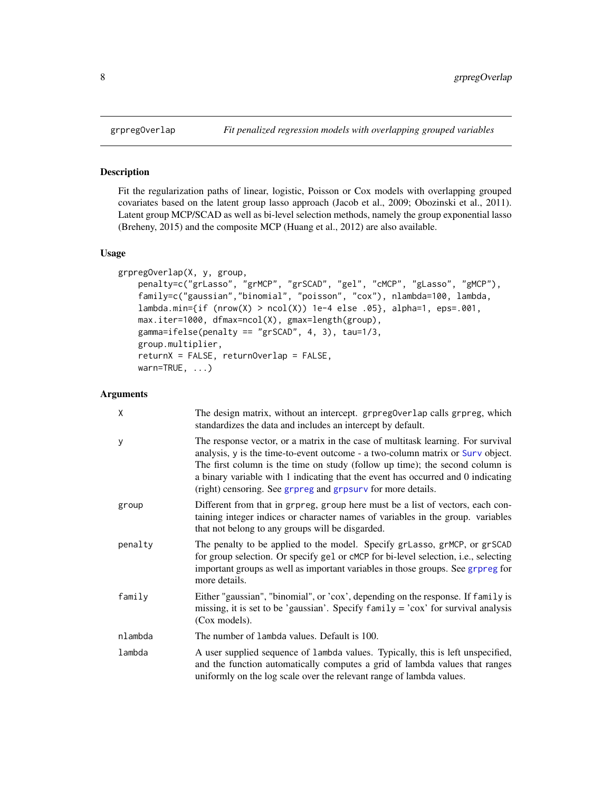#### Description

Fit the regularization paths of linear, logistic, Poisson or Cox models with overlapping grouped covariates based on the latent group lasso approach (Jacob et al., 2009; Obozinski et al., 2011). Latent group MCP/SCAD as well as bi-level selection methods, namely the group exponential lasso (Breheny, 2015) and the composite MCP (Huang et al., 2012) are also available.

# Usage

```
grpregOverlap(X, y, group,
   penalty=c("grLasso", "grMCP", "grSCAD", "gel", "cMCP", "gLasso", "gMCP"),
   family=c("gaussian","binomial", "poisson", "cox"), nlambda=100, lambda,
   lambda.min={if (nrow(X) > ncol(X)) 1e-4 else .05}, alpha=1,eps=.001,max.iter=1000, dfmax=ncol(X), gmax=length(group),
   gamma= "grSCAD", 4, 3), tau=1/3,
   group.multiplier,
   returnX = FALSE, returnOverlap = FALSE,
   warn=TRUE, ...)
```
#### Arguments

| X       | The design matrix, without an intercept. grpreg0verlap calls grpreg, which<br>standardizes the data and includes an intercept by default.                                                                                                                                                                                                                                                             |
|---------|-------------------------------------------------------------------------------------------------------------------------------------------------------------------------------------------------------------------------------------------------------------------------------------------------------------------------------------------------------------------------------------------------------|
| у       | The response vector, or a matrix in the case of multitask learning. For survival<br>analysis, y is the time-to-event outcome - a two-column matrix or Surv object.<br>The first column is the time on study (follow up time); the second column is<br>a binary variable with 1 indicating that the event has occurred and 0 indicating<br>(right) censoring. See grpreg and grpsurv for more details. |
| group   | Different from that in grpreg, group here must be a list of vectors, each con-<br>taining integer indices or character names of variables in the group. variables<br>that not belong to any groups will be disgarded.                                                                                                                                                                                 |
| penalty | The penalty to be applied to the model. Specify grLasso, grMCP, or grSCAD<br>for group selection. Or specify ge1 or cMCP for bi-level selection, i.e., selecting<br>important groups as well as important variables in those groups. See grpreg for<br>more details.                                                                                                                                  |
| family  | Either "gaussian", "binomial", or 'cox', depending on the response. If family is<br>missing, it is set to be 'gaussian'. Specify $f$ amily = 'cox' for survival analysis<br>(Cox models).                                                                                                                                                                                                             |
| nlambda | The number of lambda values. Default is 100.                                                                                                                                                                                                                                                                                                                                                          |
| lambda  | A user supplied sequence of lambda values. Typically, this is left unspecified,<br>and the function automatically computes a grid of lambda values that ranges<br>uniformly on the log scale over the relevant range of lambda values.                                                                                                                                                                |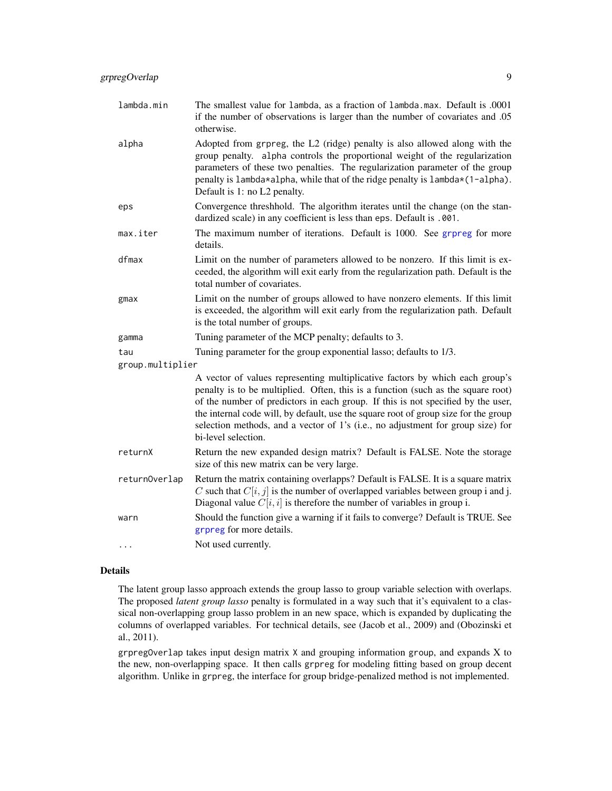| lambda.min       | The smallest value for lambda, as a fraction of lambda.max. Default is .0001<br>if the number of observations is larger than the number of covariates and .05<br>otherwise.                                                                                                                                                                                                                                                                           |
|------------------|-------------------------------------------------------------------------------------------------------------------------------------------------------------------------------------------------------------------------------------------------------------------------------------------------------------------------------------------------------------------------------------------------------------------------------------------------------|
| alpha            | Adopted from grpreg, the L2 (ridge) penalty is also allowed along with the<br>group penalty. alpha controls the proportional weight of the regularization<br>parameters of these two penalties. The regularization parameter of the group<br>penalty is lambda*alpha, while that of the ridge penalty is lambda*(1-alpha).<br>Default is 1: no L2 penalty.                                                                                            |
| eps              | Convergence threshhold. The algorithm iterates until the change (on the stan-<br>dardized scale) in any coefficient is less than eps. Default is .001.                                                                                                                                                                                                                                                                                                |
| max.iter         | The maximum number of iterations. Default is 1000. See grpreg for more<br>details.                                                                                                                                                                                                                                                                                                                                                                    |
| dfmax            | Limit on the number of parameters allowed to be nonzero. If this limit is ex-<br>ceeded, the algorithm will exit early from the regularization path. Default is the<br>total number of covariates.                                                                                                                                                                                                                                                    |
| $g$ max          | Limit on the number of groups allowed to have nonzero elements. If this limit<br>is exceeded, the algorithm will exit early from the regularization path. Default<br>is the total number of groups.                                                                                                                                                                                                                                                   |
| gamma            | Tuning parameter of the MCP penalty; defaults to 3.                                                                                                                                                                                                                                                                                                                                                                                                   |
| tau              | Tuning parameter for the group exponential lasso; defaults to 1/3.                                                                                                                                                                                                                                                                                                                                                                                    |
| group.multiplier |                                                                                                                                                                                                                                                                                                                                                                                                                                                       |
|                  | A vector of values representing multiplicative factors by which each group's<br>penalty is to be multiplied. Often, this is a function (such as the square root)<br>of the number of predictors in each group. If this is not specified by the user,<br>the internal code will, by default, use the square root of group size for the group<br>selection methods, and a vector of 1's (i.e., no adjustment for group size) for<br>bi-level selection. |
| returnX          | Return the new expanded design matrix? Default is FALSE. Note the storage<br>size of this new matrix can be very large.                                                                                                                                                                                                                                                                                                                               |
| returnOverlap    | Return the matrix containing overlapps? Default is FALSE. It is a square matrix<br>C such that $C[i, j]$ is the number of overlapped variables between group i and j.<br>Diagonal value $C[i, i]$ is therefore the number of variables in group i.                                                                                                                                                                                                    |
| warn             | Should the function give a warning if it fails to converge? Default is TRUE. See<br>grpreg for more details.                                                                                                                                                                                                                                                                                                                                          |
| $\cdots$         | Not used currently.                                                                                                                                                                                                                                                                                                                                                                                                                                   |

#### Details

The latent group lasso approach extends the group lasso to group variable selection with overlaps. The proposed *latent group lasso* penalty is formulated in a way such that it's equivalent to a classical non-overlapping group lasso problem in an new space, which is expanded by duplicating the columns of overlapped variables. For technical details, see (Jacob et al., 2009) and (Obozinski et al., 2011).

grpregOverlap takes input design matrix X and grouping information group, and expands X to the new, non-overlapping space. It then calls grpreg for modeling fitting based on group decent algorithm. Unlike in grpreg, the interface for group bridge-penalized method is not implemented.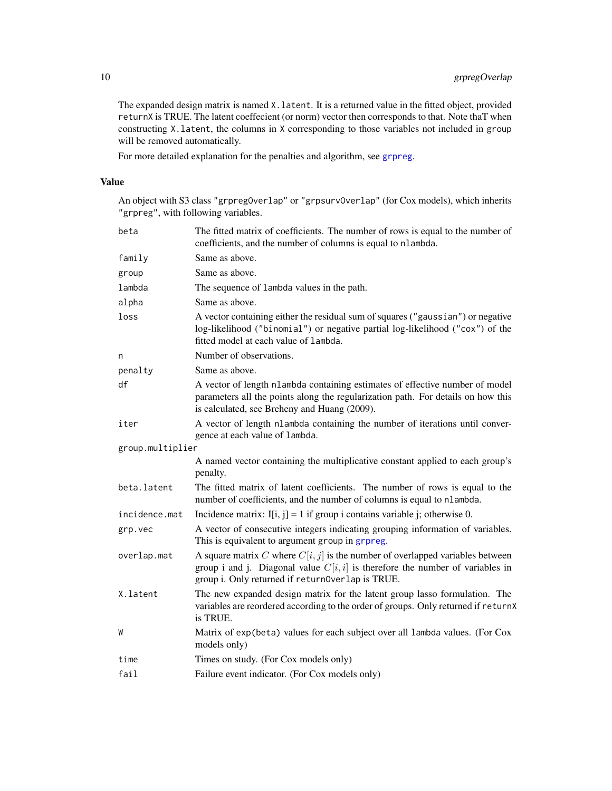The expanded design matrix is named X.latent. It is a returned value in the fitted object, provided returnX is TRUE. The latent coeffecient (or norm) vector then corresponds to that. Note thaT when constructing X.latent, the columns in X corresponding to those variables not included in group will be removed automatically.

For more detailed explanation for the penalties and algorithm, see [grpreg](#page-0-0).

# Value

An object with S3 class "grpregOverlap" or "grpsurvOverlap" (for Cox models), which inherits "grpreg", with following variables.

| beta             | The fitted matrix of coefficients. The number of rows is equal to the number of<br>coefficients, and the number of columns is equal to nlambda.                                                                        |
|------------------|------------------------------------------------------------------------------------------------------------------------------------------------------------------------------------------------------------------------|
| family           | Same as above.                                                                                                                                                                                                         |
| group            | Same as above.                                                                                                                                                                                                         |
| lambda           | The sequence of lambda values in the path.                                                                                                                                                                             |
| alpha            | Same as above.                                                                                                                                                                                                         |
| loss             | A vector containing either the residual sum of squares ("gaussian") or negative<br>log-likelihood ("binomial") or negative partial log-likelihood ("cox") of the<br>fitted model at each value of lambda.              |
| n                | Number of observations.                                                                                                                                                                                                |
| penalty          | Same as above.                                                                                                                                                                                                         |
| df               | A vector of length nlambda containing estimates of effective number of model<br>parameters all the points along the regularization path. For details on how this<br>is calculated, see Breheny and Huang (2009).       |
| iter             | A vector of length nlambda containing the number of iterations until conver-<br>gence at each value of lambda.                                                                                                         |
| group.multiplier |                                                                                                                                                                                                                        |
|                  | A named vector containing the multiplicative constant applied to each group's<br>penalty.                                                                                                                              |
| beta.latent      | The fitted matrix of latent coefficients. The number of rows is equal to the<br>number of coefficients, and the number of columns is equal to nlambda.                                                                 |
| incidence.mat    | Incidence matrix: $I[i, j] = 1$ if group i contains variable j; otherwise 0.                                                                                                                                           |
| grp.vec          | A vector of consecutive integers indicating grouping information of variables.<br>This is equivalent to argument group in grpreg.                                                                                      |
| overlap.mat      | A square matrix C where $C[i, j]$ is the number of overlapped variables between<br>group i and j. Diagonal value $C[i, i]$ is therefore the number of variables in<br>group i. Only returned if returnOverlap is TRUE. |
| X.latent         | The new expanded design matrix for the latent group lasso formulation. The<br>variables are reordered according to the order of groups. Only returned if returnX<br>is TRUE.                                           |
| W                | Matrix of exp(beta) values for each subject over all lambda values. (For Cox<br>models only)                                                                                                                           |
| time             | Times on study. (For Cox models only)                                                                                                                                                                                  |
| fail             | Failure event indicator. (For Cox models only)                                                                                                                                                                         |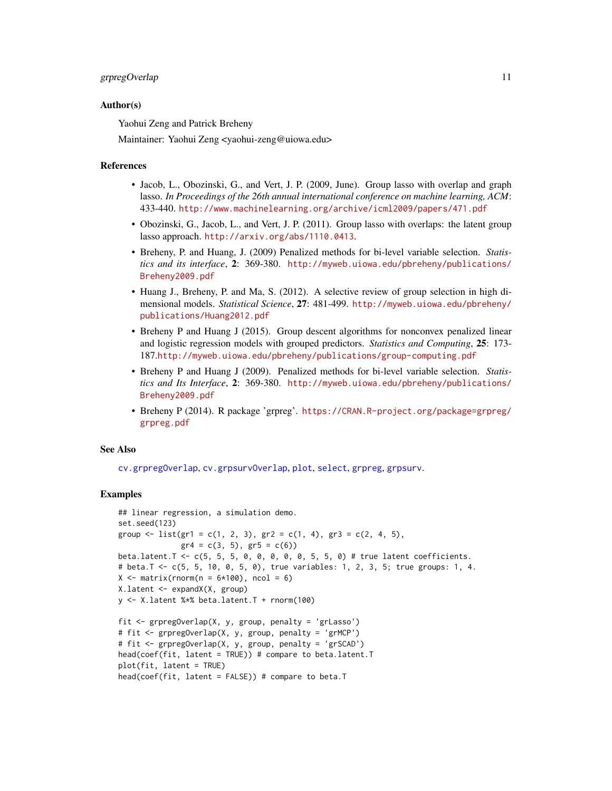#### <span id="page-10-0"></span>grpregOverlap 11

#### Author(s)

Yaohui Zeng and Patrick Breheny

Maintainer: Yaohui Zeng <yaohui-zeng@uiowa.edu>

#### References

- Jacob, L., Obozinski, G., and Vert, J. P. (2009, June). Group lasso with overlap and graph lasso. *In Proceedings of the 26th annual international conference on machine learning, ACM*: 433-440. <http://www.machinelearning.org/archive/icml2009/papers/471.pdf>
- Obozinski, G., Jacob, L., and Vert, J. P. (2011). Group lasso with overlaps: the latent group lasso approach. <http://arxiv.org/abs/1110.0413>.
- Breheny, P. and Huang, J. (2009) Penalized methods for bi-level variable selection. *Statistics and its interface*, 2: 369-380. [http://myweb.uiowa.edu/pbreheny/publications/](http://myweb.uiowa.edu/pbreheny/publications/Breheny2009.pdf) [Breheny2009.pdf](http://myweb.uiowa.edu/pbreheny/publications/Breheny2009.pdf)
- Huang J., Breheny, P. and Ma, S. (2012). A selective review of group selection in high dimensional models. *Statistical Science*, 27: 481-499. [http://myweb.uiowa.edu/pbreheny/](http://myweb.uiowa.edu/pbreheny/publications/Huang2012.pdf) [publications/Huang2012.pdf](http://myweb.uiowa.edu/pbreheny/publications/Huang2012.pdf)
- Breheny P and Huang J (2015). Group descent algorithms for nonconvex penalized linear and logistic regression models with grouped predictors. *Statistics and Computing*, 25: 173- 187.<http://myweb.uiowa.edu/pbreheny/publications/group-computing.pdf>
- Breheny P and Huang J (2009). Penalized methods for bi-level variable selection. *Statistics and Its Interface*, 2: 369-380. [http://myweb.uiowa.edu/pbreheny/publications/](http://myweb.uiowa.edu/pbreheny/publications/Breheny2009.pdf) [Breheny2009.pdf](http://myweb.uiowa.edu/pbreheny/publications/Breheny2009.pdf)
- Breheny P (2014). R package 'grpreg'. [https://CRAN.R-project.org/package=grpreg/](https://CRAN.R-project.org/package=grpreg/grpreg.pdf) [grpreg.pdf](https://CRAN.R-project.org/package=grpreg/grpreg.pdf)

#### See Also

[cv.grpregOverlap](#page-2-1), [cv.grpsurvOverlap](#page-4-1), [plot](#page-14-1), [select](#page-18-1), [grpreg](#page-0-0), [grpsurv](#page-0-0).

#### Examples

```
## linear regression, a simulation demo.
set.seed(123)
group \le list(gr1 = c(1, 2, 3), gr2 = c(1, 4), gr3 = c(2, 4, 5),
              gr4 = c(3, 5), gr5 = c(6)beta.latent.T <- c(5, 5, 5, 0, 0, 0, 0, 0, 5, 5, 0) # true latent coefficients.
# beta.T <- c(5, 5, 10, 0, 5, 0), true variables: 1, 2, 3, 5; true groups: 1, 4.
X \le matrix(rnorm(n = 6*100), ncol = 6)
X.latent <- expandX(X, group)
y \le -X. latent %*% beta. latent. T + rnorm(100)
fit <- grpregOverlap(X, y, group, penalty = 'grLasso')
# fit <- grpregOverlap(X, y, group, penalty = 'grMCP')
# fit <- grpregOverlap(X, y, group, penalty = 'grSCAD')
head(coef(fit, latent = TRUE)) # compare to beta.latent.T
plot(fit, latent = TRUE)
head(coef(fit, latent = FALSE)) # compare to beta.T
```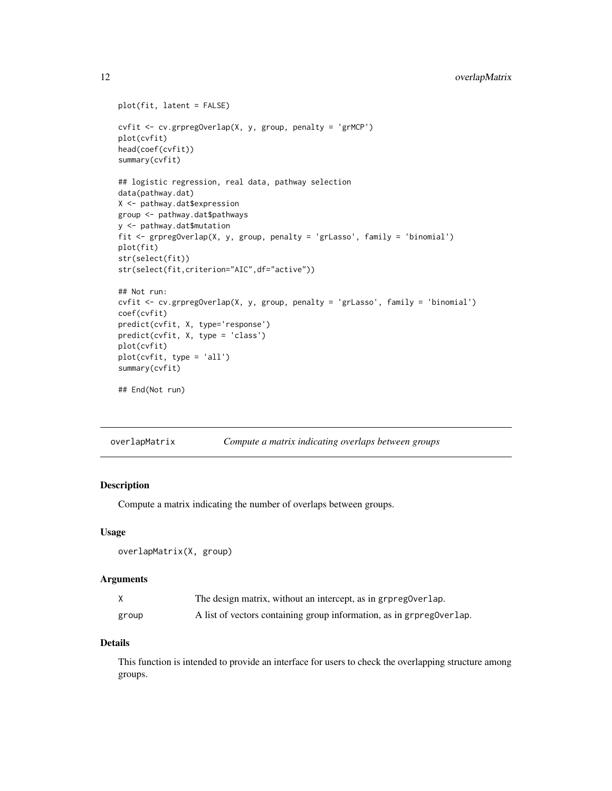```
plot(fit, latent = FALSE)
cvfit <- cv.grpregOverlap(X, y, group, penalty = 'grMCP')
plot(cvfit)
head(coef(cvfit))
summary(cvfit)
## logistic regression, real data, pathway selection
data(pathway.dat)
X <- pathway.dat$expression
group <- pathway.dat$pathways
y <- pathway.dat$mutation
fit <- grpregOverlap(X, y, group, penalty = 'grLasso', family = 'binomial')
plot(fit)
str(select(fit))
str(select(fit,criterion="AIC",df="active"))
## Not run:
cvfit <- cv.grpregOverlap(X, y, group, penalty = 'grLasso', family = 'binomial')
coef(cvfit)
predict(cvfit, X, type='response')
predict(cvfit, X, type = 'class')
plot(cvfit)
plot(cvfit, type = 'all')
summary(cvfit)
## End(Not run)
```
<span id="page-11-1"></span>overlapMatrix *Compute a matrix indicating overlaps between groups*

#### Description

Compute a matrix indicating the number of overlaps between groups.

#### Usage

overlapMatrix(X, group)

#### Arguments

| X     | The design matrix, without an intercept, as in grpregoverlap.        |
|-------|----------------------------------------------------------------------|
| group | A list of vectors containing group information, as in grpreg0verlap. |

# Details

This function is intended to provide an interface for users to check the overlapping structure among groups.

<span id="page-11-0"></span>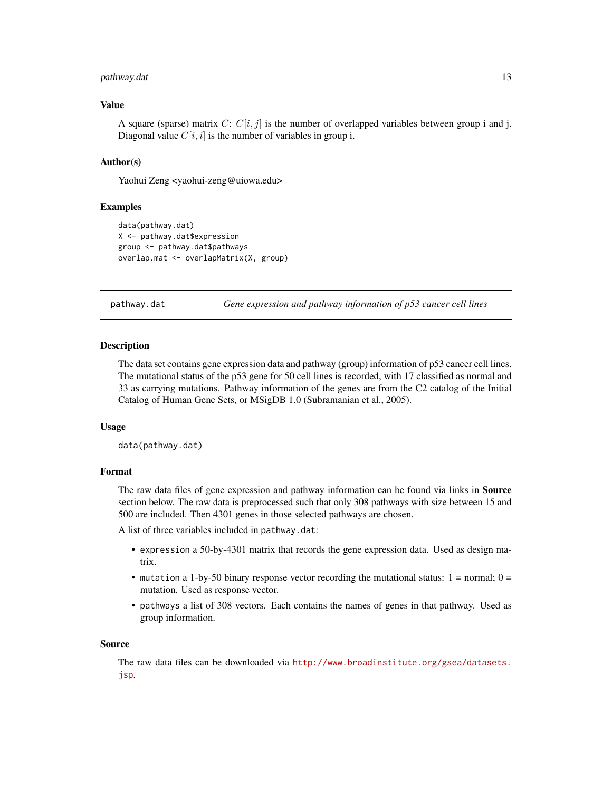#### <span id="page-12-0"></span>pathway.dat 13

# Value

A square (sparse) matrix C:  $C[i, j]$  is the number of overlapped variables between group i and j. Diagonal value  $C[i, i]$  is the number of variables in group i.

#### Author(s)

Yaohui Zeng <yaohui-zeng@uiowa.edu>

#### Examples

```
data(pathway.dat)
X <- pathway.dat$expression
group <- pathway.dat$pathways
overlap.mat <- overlapMatrix(X, group)
```
<span id="page-12-1"></span>pathway.dat *Gene expression and pathway information of p53 cancer cell lines*

#### Description

The data set contains gene expression data and pathway (group) information of p53 cancer cell lines. The mutational status of the p53 gene for 50 cell lines is recorded, with 17 classified as normal and 33 as carrying mutations. Pathway information of the genes are from the C2 catalog of the Initial Catalog of Human Gene Sets, or MSigDB 1.0 (Subramanian et al., 2005).

#### Usage

data(pathway.dat)

#### Format

The raw data files of gene expression and pathway information can be found via links in **Source** section below. The raw data is preprocessed such that only 308 pathways with size between 15 and 500 are included. Then 4301 genes in those selected pathways are chosen.

A list of three variables included in pathway.dat:

- expression a 50-by-4301 matrix that records the gene expression data. Used as design matrix.
- mutation a 1-by-50 binary response vector recording the mutational status:  $1 = normal$ ;  $0 =$ mutation. Used as response vector.
- pathways a list of 308 vectors. Each contains the names of genes in that pathway. Used as group information.

#### Source

The raw data files can be downloaded via [http://www.broadinstitute.org/gsea/datasets.](http://www.broadinstitute.org/gsea/datasets.jsp) [jsp](http://www.broadinstitute.org/gsea/datasets.jsp).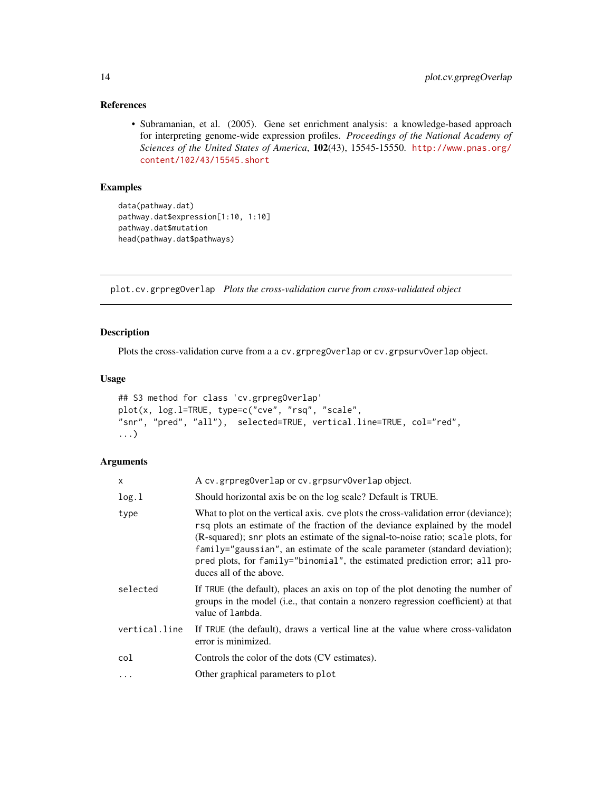# <span id="page-13-0"></span>References

• Subramanian, et al. (2005). Gene set enrichment analysis: a knowledge-based approach for interpreting genome-wide expression profiles. *Proceedings of the National Academy of Sciences of the United States of America*, 102(43), 15545-15550. [http://www.pnas.org/](http://www.pnas.org/content/102/43/15545.short) [content/102/43/15545.short](http://www.pnas.org/content/102/43/15545.short)

# Examples

```
data(pathway.dat)
pathway.dat$expression[1:10, 1:10]
pathway.dat$mutation
head(pathway.dat$pathways)
```
plot.cv.grpregOverlap *Plots the cross-validation curve from cross-validated object*

# Description

Plots the cross-validation curve from a a cv.grpregOverlap or cv.grpsurvOverlap object.

# Usage

```
## S3 method for class 'cv.grpregOverlap'
plot(x, log.l=TRUE, type=c("cve", "rsq", "scale",
"snr", "pred", "all"), selected=TRUE, vertical.line=TRUE, col="red",
...)
```
# Arguments

| x             | A cv.grpreg0verlap or cv.grpsurv0verlap object.                                                                                                                                                                                                                                                                                                                                                                                                   |
|---------------|---------------------------------------------------------------------------------------------------------------------------------------------------------------------------------------------------------------------------------------------------------------------------------------------------------------------------------------------------------------------------------------------------------------------------------------------------|
| log.1         | Should horizontal axis be on the log scale? Default is TRUE.                                                                                                                                                                                                                                                                                                                                                                                      |
| type          | What to plot on the vertical axis. cve plots the cross-validation error (deviance);<br>rsq plots an estimate of the fraction of the deviance explained by the model<br>(R-squared); snr plots an estimate of the signal-to-noise ratio; scale plots, for<br>family="gaussian", an estimate of the scale parameter (standard deviation);<br>pred plots, for family="binomial", the estimated prediction error; all pro-<br>duces all of the above. |
| selected      | If TRUE (the default), places an axis on top of the plot denoting the number of<br>groups in the model (i.e., that contain a nonzero regression coefficient) at that<br>value of lambda.                                                                                                                                                                                                                                                          |
| vertical.line | If TRUE (the default), draws a vertical line at the value where cross-validation<br>error is minimized.                                                                                                                                                                                                                                                                                                                                           |
| col           | Controls the color of the dots (CV estimates).                                                                                                                                                                                                                                                                                                                                                                                                    |
| $\ddots$ .    | Other graphical parameters to plot                                                                                                                                                                                                                                                                                                                                                                                                                |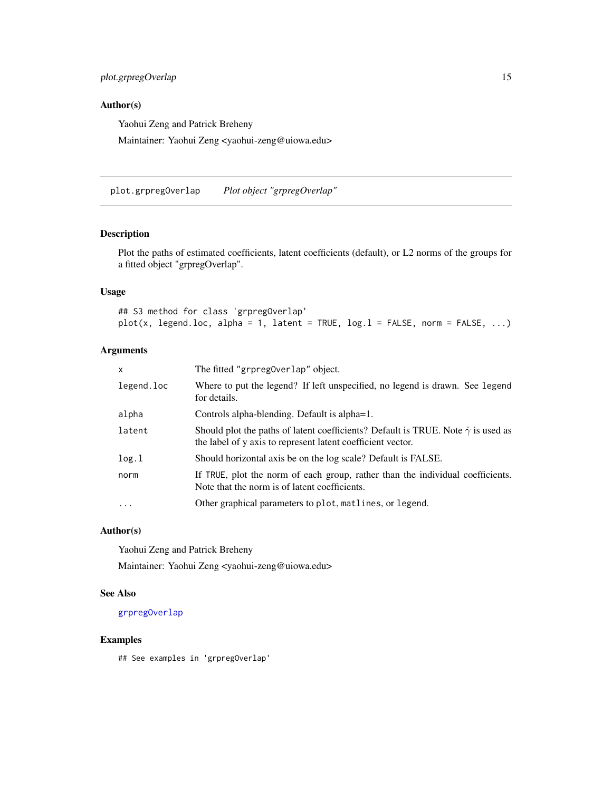# <span id="page-14-0"></span>plot.grpregOverlap 15

# Author(s)

Yaohui Zeng and Patrick Breheny

Maintainer: Yaohui Zeng <yaohui-zeng@uiowa.edu>

<span id="page-14-1"></span>plot.grpregOverlap *Plot object "grpregOverlap"*

# Description

Plot the paths of estimated coefficients, latent coefficients (default), or L2 norms of the groups for a fitted object "grpregOverlap".

# Usage

## S3 method for class 'grpregOverlap'  $plot(x, legend.loc, alpha = 1, latent = TRUE, log.1 = FALSE, norm = FALSE, ...)$ 

#### Arguments

| x          | The fitted "grpreg0verlap" object.                                                                                                                           |
|------------|--------------------------------------------------------------------------------------------------------------------------------------------------------------|
| legend.loc | Where to put the legend? If left unspecified, no legend is drawn. See legend<br>for details.                                                                 |
| alpha      | Controls alpha-blending. Default is alpha=1.                                                                                                                 |
| latent     | Should plot the paths of latent coefficients? Default is TRUE. Note $\hat{\gamma}$ is used as<br>the label of y axis to represent latent coefficient vector. |
| log.1      | Should horizontal axis be on the log scale? Default is FALSE.                                                                                                |
| norm       | If TRUE, plot the norm of each group, rather than the individual coefficients.<br>Note that the norm is of latent coefficients.                              |
| .          | Other graphical parameters to plot, matlines, or legend.                                                                                                     |
|            |                                                                                                                                                              |

# Author(s)

Yaohui Zeng and Patrick Breheny Maintainer: Yaohui Zeng <yaohui-zeng@uiowa.edu>

# See Also

#### [grpregOverlap](#page-7-1)

#### Examples

## See examples in 'grpregOverlap'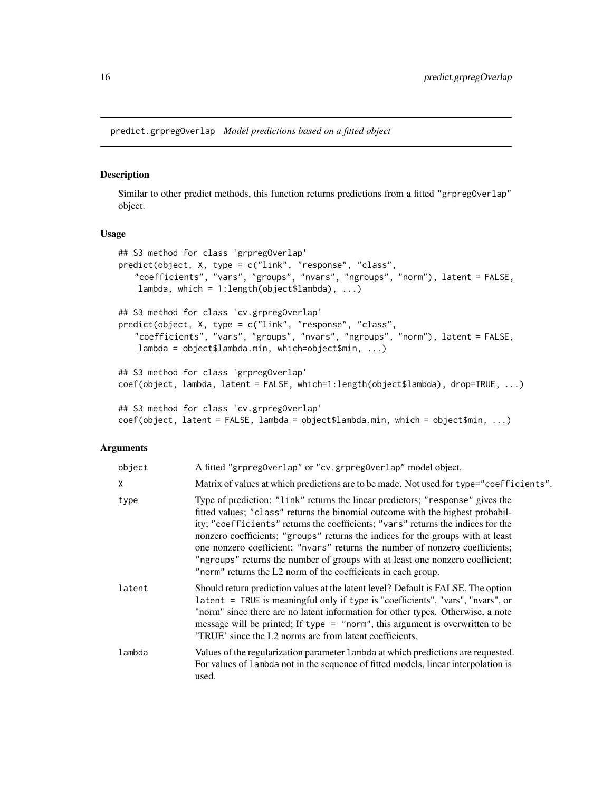<span id="page-15-1"></span><span id="page-15-0"></span>predict.grpregOverlap *Model predictions based on a fitted object*

#### Description

Similar to other predict methods, this function returns predictions from a fitted "grpregOverlap" object.

#### Usage

```
## S3 method for class 'grpregOverlap'
predict(object, X, type = c("link", "response", "class",
   "coefficients", "vars", "groups", "nvars", "ngroups", "norm"), latent = FALSE,
    lambda, which = 1:length(object$lambda), ...)
## S3 method for class 'cv.grpregOverlap'
predict(object, X, type = c("link", "response", "class",
   "coefficients", "vars", "groups", "nvars", "ngroups", "norm"), latent = FALSE,
    lambda = object$lambda.min, which=object$min, ...)
## S3 method for class 'grpregOverlap'
coef(object, lambda, latent = FALSE, which=1:length(object$lambda), drop=TRUE, ...)
## S3 method for class 'cv.grpregOverlap'
coef(object, latent = FALSE, lambda = object$lambda.min, which = object$min, ...)
```
#### **Arguments**

| object | A fitted "grpreg0verlap" or "cv.grpreg0verlap" model object.                                                                                                                                                                                                                                                                                                                                                                                                                                                                                                              |
|--------|---------------------------------------------------------------------------------------------------------------------------------------------------------------------------------------------------------------------------------------------------------------------------------------------------------------------------------------------------------------------------------------------------------------------------------------------------------------------------------------------------------------------------------------------------------------------------|
| χ      | Matrix of values at which predictions are to be made. Not used for type="coefficients".                                                                                                                                                                                                                                                                                                                                                                                                                                                                                   |
| type   | Type of prediction: "link" returns the linear predictors; "response" gives the<br>fitted values; "class" returns the binomial outcome with the highest probabil-<br>ity; "coefficients" returns the coefficients; "vars" returns the indices for the<br>nonzero coefficients; "groups" returns the indices for the groups with at least<br>one nonzero coefficient; "nvars" returns the number of nonzero coefficients;<br>"ngroups" returns the number of groups with at least one nonzero coefficient;<br>"norm" returns the L2 norm of the coefficients in each group. |
| latent | Should return prediction values at the latent level? Default is FALSE. The option<br>latent = TRUE is meaningful only if type is "coefficients", "vars", "nvars", or<br>"norm" since there are no latent information for other types. Otherwise, a note<br>message will be printed; If type = "norm", this argument is overwritten to be<br>TRUE' since the L2 norms are from latent coefficients.                                                                                                                                                                        |
| lambda | Values of the regularization parameter 1 ambda at which predictions are requested.<br>For values of lambda not in the sequence of fitted models, linear interpolation is<br>used.                                                                                                                                                                                                                                                                                                                                                                                         |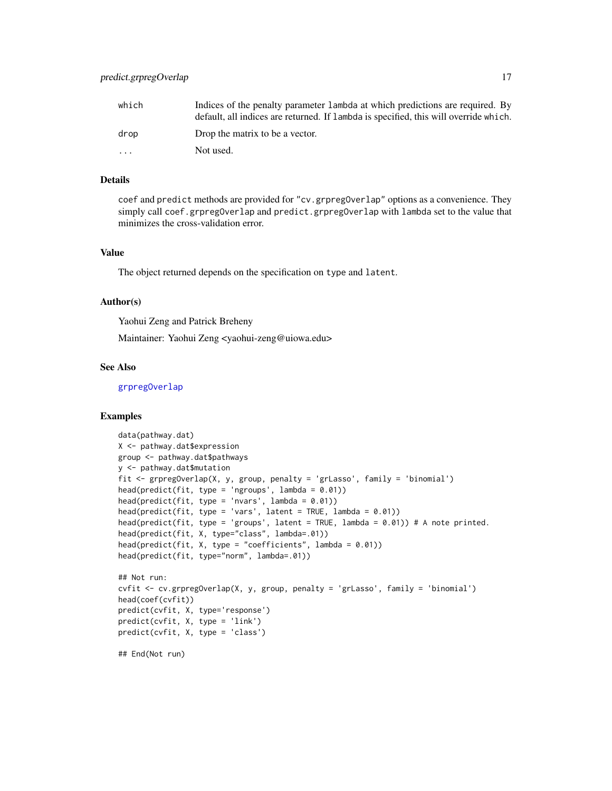<span id="page-16-0"></span>

| which | Indices of the penalty parameter 1 ambda at which predictions are required. By       |
|-------|--------------------------------------------------------------------------------------|
|       | default, all indices are returned. If lambda is specified, this will override which. |
| drop  | Drop the matrix to be a vector.                                                      |
| .     | Not used.                                                                            |

# Details

coef and predict methods are provided for "cv.grpregOverlap" options as a convenience. They simply call coef.grpregOverlap and predict.grpregOverlap with lambda set to the value that minimizes the cross-validation error.

### Value

The object returned depends on the specification on type and latent.

# Author(s)

Yaohui Zeng and Patrick Breheny

Maintainer: Yaohui Zeng <yaohui-zeng@uiowa.edu>

# See Also

[grpregOverlap](#page-7-1)

#### Examples

```
data(pathway.dat)
X <- pathway.dat$expression
group <- pathway.dat$pathways
y <- pathway.dat$mutation
fit <- grpregOverlap(X, y, group, penalty = 'grLasso', family = 'binomial')
head(predict(fit, type = 'ngroups', lambda = 0.01))
head(predict(fit, type = 'nvars', lambda = 0.01))
head(predict(fit, type = 'vars', latent = TRUE, lambda = 0.01))
head(predict(fit, type = 'groups', latent = TRUE, lambda = 0.01)) # A note printed.
head(predict(fit, X, type="class", lambda=.01))
head(predict(fit, X, type = "coefficients", lambda = 0.01))
head(predict(fit, type="norm", lambda=.01))
## Not run:
cvfit <- cv.grpregOverlap(X, y, group, penalty = 'grLasso', family = 'binomial')
head(coef(cvfit))
predict(cvfit, X, type='response')
predict(cvfit, X, type = 'link')
predict(cvfit, X, type = 'class')
## End(Not run)
```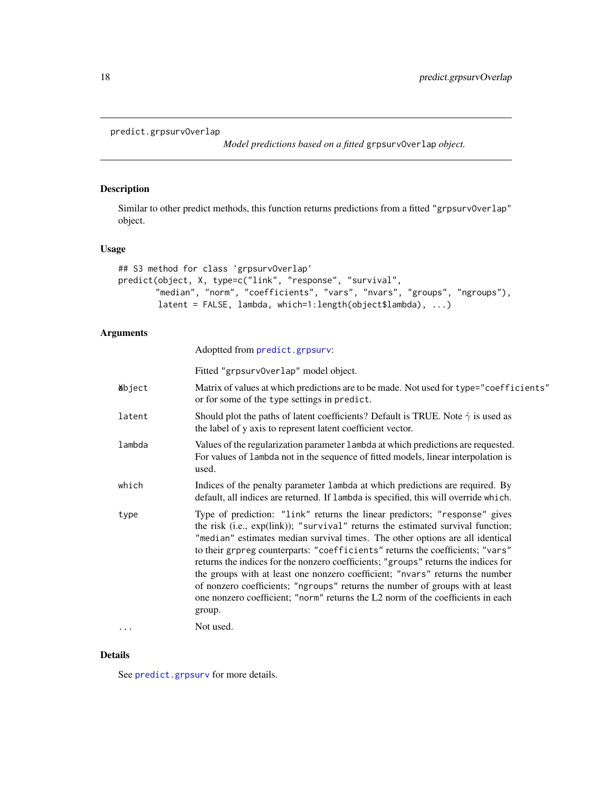```
predict.grpsurvOverlap
```
*Model predictions based on a fitted* grpsurvOverlap *object.*

#### Description

Similar to other predict methods, this function returns predictions from a fitted "grpsurv0verlap" object.

#### Usage

```
## S3 method for class 'grpsurvOverlap'
predict(object, X, type=c("link", "response", "survival",
       "median", "norm", "coefficients", "vars", "nvars", "groups", "ngroups"),
       latent = FALSE, lambda, which=1:length(object$lambda), ...)
```
#### Arguments

Adoptted from [predict.grpsurv](#page-0-0):

Fitted "grpsurvOverlap" model object.  $\triangle$ bject Matrix of values at which predictions are to be made. Not used for type="coefficients" or for some of the type settings in predict. latent Should plot the paths of latent coefficients? Default is TRUE. Note  $\hat{\gamma}$  is used as the label of y axis to represent latent coefficient vector. lambda Values of the regularization parameter lambda at which predictions are requested. For values of lambda not in the sequence of fitted models, linear interpolation is used. which Indices of the penalty parameter lambda at which predictions are required. By default, all indices are returned. If lambda is specified, this will override which. type Type of prediction: "link" returns the linear predictors; "response" gives the risk (i.e., exp(link)); "survival" returns the estimated survival function; "median" estimates median survival times. The other options are all identical to their grpreg counterparts: "coefficients" returns the coefficients; "vars" returns the indices for the nonzero coefficients; "groups" returns the indices for the groups with at least one nonzero coefficient; "nvars" returns the number of nonzero coefficients; "ngroups" returns the number of groups with at least one nonzero coefficient; "norm" returns the L2 norm of the coefficients in each group.

... Not used.

#### Details

See [predict.grpsurv](#page-0-0) for more details.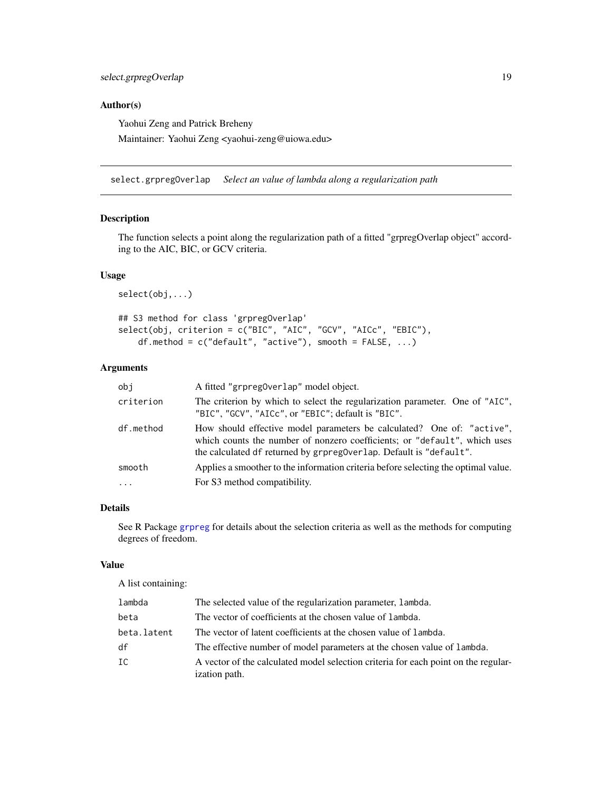# <span id="page-18-0"></span>Author(s)

Yaohui Zeng and Patrick Breheny

Maintainer: Yaohui Zeng <yaohui-zeng@uiowa.edu>

<span id="page-18-1"></span>select.grpregOverlap *Select an value of lambda along a regularization path*

#### Description

The function selects a point along the regularization path of a fitted "grpregOverlap object" according to the AIC, BIC, or GCV criteria.

#### Usage

select(obj,...)

```
## S3 method for class 'grpregOverlap'
select(obj, criterion = c("BIC", "AIC", "GCV", "AICc", "EBIC"),
   df.method = c("default", "active"), smooth = FALSE, ...)
```
# Arguments

| obi       | A fitted "grpreg0verlap" model object.                                                                                                                                                                                    |
|-----------|---------------------------------------------------------------------------------------------------------------------------------------------------------------------------------------------------------------------------|
| criterion | The criterion by which to select the regularization parameter. One of "AIC",<br>"BIC", "GCV", "AICc", or "EBIC"; default is "BIC".                                                                                        |
| df.method | How should effective model parameters be calculated? One of: "active",<br>which counts the number of nonzero coefficients; or "default", which uses<br>the calculated df returned by grpreg0verlap. Default is "default". |
| smooth    | Applies a smoother to the information criteria before selecting the optimal value.                                                                                                                                        |
| $\cdots$  | For S3 method compatibility.                                                                                                                                                                                              |

#### Details

See R Package [grpreg](#page-0-0) for details about the selection criteria as well as the methods for computing degrees of freedom.

#### Value

A list containing:

| lambda      | The selected value of the regularization parameter, lambda.                                         |
|-------------|-----------------------------------------------------------------------------------------------------|
| beta        | The vector of coefficients at the chosen value of lambda.                                           |
| beta.latent | The vector of latent coefficients at the chosen value of lambda.                                    |
| df          | The effective number of model parameters at the chosen value of lambda.                             |
| IC          | A vector of the calculated model selection criteria for each point on the regular-<br>ization path. |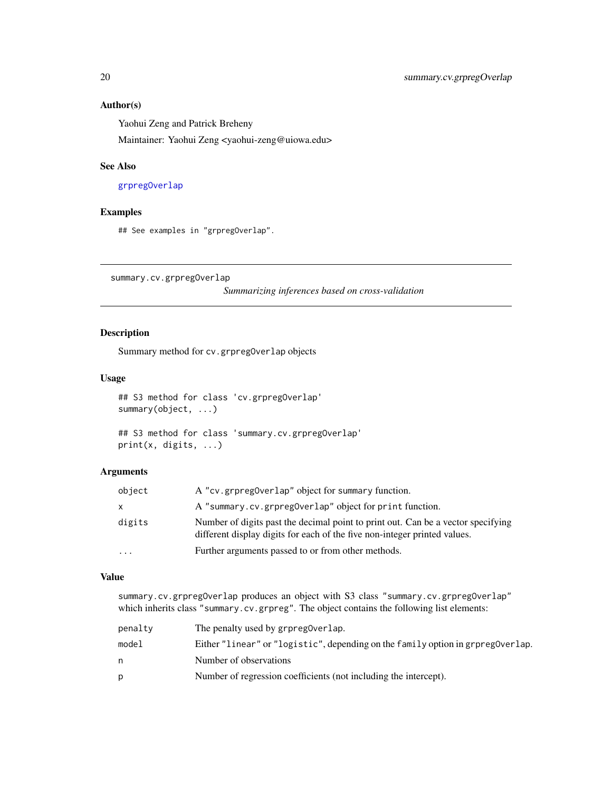# <span id="page-19-0"></span>Author(s)

Yaohui Zeng and Patrick Breheny

Maintainer: Yaohui Zeng <yaohui-zeng@uiowa.edu>

### See Also

[grpregOverlap](#page-7-1)

#### Examples

## See examples in "grpregOverlap".

<span id="page-19-1"></span>summary.cv.grpregOverlap

*Summarizing inferences based on cross-validation*

# Description

Summary method for cv.grpregOverlap objects

# Usage

```
## S3 method for class 'cv.grpregOverlap'
summary(object, ...)
```

```
## S3 method for class 'summary.cv.grpregOverlap'
print(x, digits, ...)
```
#### Arguments

| object                  | A "cv.grpreg0verlap" object for summary function.                                                                                                             |
|-------------------------|---------------------------------------------------------------------------------------------------------------------------------------------------------------|
| $\mathsf{x}$            | A "summary.cv.grpreg0verlap" object for print function.                                                                                                       |
| digits                  | Number of digits past the decimal point to print out. Can be a vector specifying<br>different display digits for each of the five non-integer printed values. |
| $\cdot$ $\cdot$ $\cdot$ | Further arguments passed to or from other methods.                                                                                                            |

# Value

summary.cv.grpregOverlap produces an object with S3 class "summary.cv.grpregOverlap" which inherits class "summary.cv.grpreg". The object contains the following list elements:

| penalty | The penalty used by grpreg0verlap.                                              |
|---------|---------------------------------------------------------------------------------|
| model   | Either "linear" or "logistic", depending on the family option in grpreg0verlap. |
| n       | Number of observations                                                          |
| D       | Number of regression coefficients (not including the intercept).                |
|         |                                                                                 |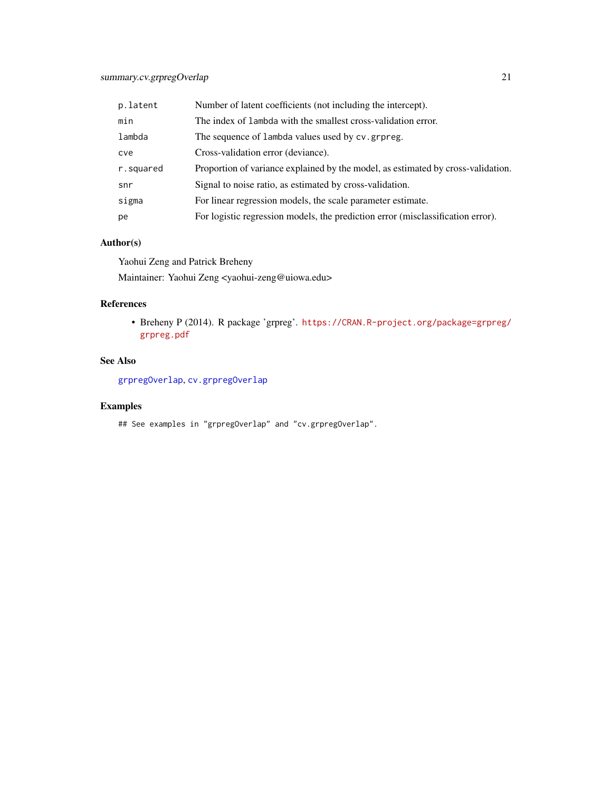# <span id="page-20-0"></span>summary.cv.grpregOverlap 21

| p.latent  | Number of latent coefficients (not including the intercept).                     |
|-----------|----------------------------------------------------------------------------------|
| min       | The index of lambda with the smallest cross-validation error.                    |
| lambda    | The sequence of lambda values used by cv.grpreg.                                 |
| cve       | Cross-validation error (deviance).                                               |
| r.squared | Proportion of variance explained by the model, as estimated by cross-validation. |
| snr       | Signal to noise ratio, as estimated by cross-validation.                         |
| sigma     | For linear regression models, the scale parameter estimate.                      |
| pe        | For logistic regression models, the prediction error (misclassification error).  |

# Author(s)

Yaohui Zeng and Patrick Breheny

Maintainer: Yaohui Zeng <yaohui-zeng@uiowa.edu>

# References

• Breheny P (2014). R package 'grpreg'. [https://CRAN.R-project.org/package=grpreg/](https://CRAN.R-project.org/package=grpreg/grpreg.pdf) [grpreg.pdf](https://CRAN.R-project.org/package=grpreg/grpreg.pdf)

# See Also

[grpregOverlap](#page-7-1), [cv.grpregOverlap](#page-2-1)

# Examples

## See examples in "grpregOverlap" and "cv.grpregOverlap".